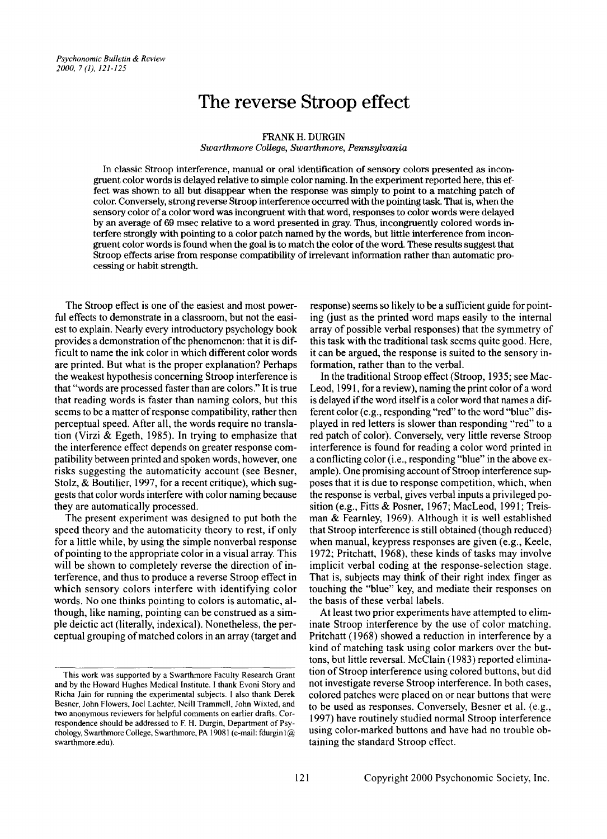# **The reverse Stroop effect**

## FRANKH. DURGIN

*Swarthmore CoUege, Swarthmore, Pennsylvania*

In classic Stroop interference, manual or oral identification of sensory colors presented as incongruent color words is delayed relative to simple color naming. In the experiment reported here, this effect was shown to all but disappear when the response was simply to point to a matching patch of color. Conversely, strong reverse Stroop interference occurred with the pointing task. That is, when the sensory color of a color word was incongruent with that word, responsesto color words were delayed by an average of 69 msec relative to a word presented in gray, Thus, incongruently colored words interfere strongly with pointing to a color patch named by the words, but little interference from incongruent color words is found when the goal is to match the color of the word. These results suggest that Stroop effects arise from response compatibility of irrelevant information rather than automatic processing or habit strength.

The Stroop effect is one of the easiest and most powerful effects to demonstrate in a classroom, but not the easiest to explain. Nearly every introductory psychology book provides a demonstration of the phenomenon: that it is difficult to name the ink color in which different color words are printed. But what is the proper explanation? Perhaps the weakest hypothesis concerning Stroop interference is that "words are processed faster than are colors." It is true that reading words is faster than naming colors, but this seems to be a matter of response compatibility, rather then perceptual speed. After all, the words require no translation (Virzi & Egeth, 1985). In trying to emphasize that the interference effect depends on greater response compatibility between printed and spoken words, however, one risks suggesting the automaticity account (see Besner, Stolz, & Boutilier, 1997, for a recent critique), which suggests that color words interfere with color naming because they are automatically processed.

The present experiment was designed to put both the speed theory and the automaticity theory to rest, if only for a little while, by using the simple nonverbal response of pointing to the appropriate color in a visual array. This will be shown to completely reverse the direction of interference, and thus to produce a reverse Stroop effect in which sensory colors interfere with identifying color words. No one thinks pointing to colors is automatic, although, like naming, pointing can be construed as a simple deictic act (literally, indexical). Nonetheless, the perceptual grouping of matched colors in an array (target and response) seems so likely to be a sufficient guide for pointing (just as the printed word maps easily to the internal array of possible verbal responses) that the symmetry of this task with the traditional task seems quite good. Here, it can be argued, the response is suited to the sensory information, rather than to the verbal.

In the traditional Stroop effect (Stroop, 1935; see Mac-Leod, 1991, for a review), naming the print color of a word is delayed if the word itselfis a color word that names a different color (e.g., responding "red" to the word "blue" displayed in red letters is slower than responding "red" to a red patch of color). Conversely, very little reverse Stroop interference is found for reading a color word printed in a conflicting color (i.e., responding "blue" in the above example). One promising account of Stroop interference supposes that it is due to response competition, which, when the response is verbal, gives verbal inputs a privileged position (e.g., Fitts & Posner, 1967; MacLeod, 1991; Treisman & Fearnley, 1969). Although it is well established that Stroop interference is still obtained (though reduced) when manual, keypress responses are given (e.g., Keele, 1972; Pritchatt, 1968), these kinds of tasks may involve implicit verbal coding at the response-selection stage. That is, subjects may think of their right index finger as touching the "blue" key, and mediate their responses on the basis of these verbal labels.

At least two prior experiments have attempted to eliminate Stroop interference by the use of color matching. Pritchatt (1968) showed a reduction in interference by a kind of matching task using color markers over the buttons, but little reversal. McClain (1983) reported elimination of Stroop interference using colored buttons, but did not investigate reverse Stroop interference. In both cases, colored patches were placed on or near buttons that were to be used as responses. Conversely, Besner et al. (e.g., 1997) have routinely studied normal Stroop interference using color-marked buttons and have had no trouble obtaining the standard Stroop effect.

This work was supported by a Swarthmore Faculty Research Grant and by the Howard Hughes Medical Institute. I thank Evoni Story and Richa Jain for running the experimental subjects. I also thank Derek Besner, John Flowers, Joel Lachter, Neill Trammell, John Wixted, and two anonymous reviewers for helpful comments on earlier drafts. Correspondence should be addressed to F.H. Durgin, Department of Psychology, Swarthmore College, Swarthmore, PA 19081 (e-mail: fdurgin1@ swarthmore.edu).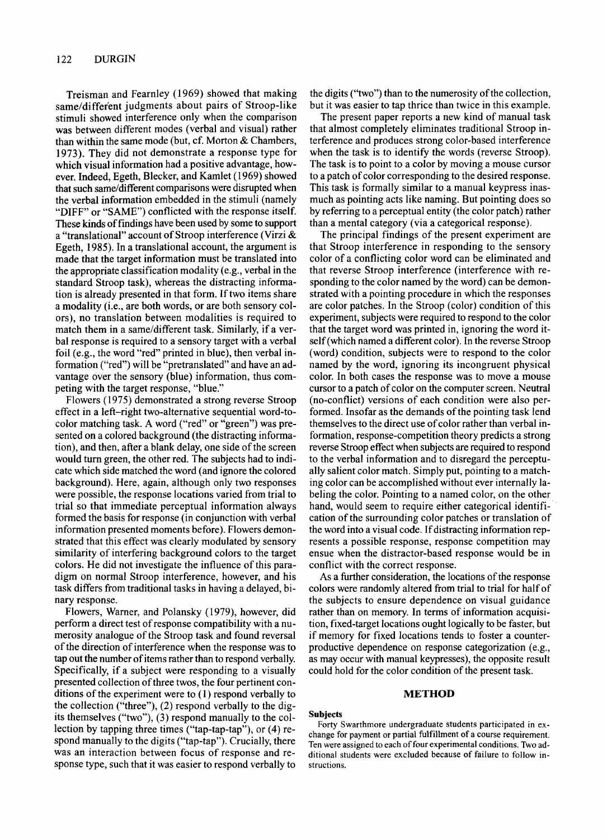Treisman and Fearnley (1969) showed that making same/different judgments about pairs of Stroop-like stimuli showed interference only when the comparison was between different modes (verbal and visual) rather than within the same mode (but, cf. Morton & Chambers, 1973). They did not demonstrate a response type for which visual information had a positive advantage, however. Indeed, Egeth, Blecker, and Kamlet (1969) showed that such same/different comparisons were disrupted when the verbal information embedded in the stimuli (namely "DIFF" or "SAME") conflicted with the response itself. These kinds of findings have been used by some to support a "translational" account of Stroop interference (Virzi & Egeth, 1985). In a translational account, the argument is made that the target information must be translated into the appropriate classification modality (e.g., verbal in the standard Stroop task), whereas the distracting information is already presented in that form. If two items share a modality (i.e., are both words, or are both sensory colors), no translation between modalities is required to match them in a same/different task. Similarly, if a verbal response is required to a sensory target with a verbal foil (e.g., the word "red" printed in blue), then verbal information ("red") will be "pretranslated" and have an advantage over the sensory (blue) information, thus competing with the target response, "blue."

Flowers (1975) demonstrated a strong reverse Stroop effect in a left-right two-alternative sequential word-tocolor matching task. A word ("red" or "green") was presented on a colored background (the distracting information), and then, after a blank delay, one side of the screen would turn green, the other red. The subjects had to indicate which side matched the word (and ignore the colored background). Here, again, although only two responses were possible, the response locations varied from trial to trial so that immediate perceptual information always formed the basis for response (in conjunction with verbal information presented moments before). Flowers demonstrated that this effect was clearly modulated by sensory similarity of interfering background colors to the target colors. He did not investigate the influence of this paradigm on normal Stroop interference, however, and his task differs from traditional tasks in having a delayed, binary response.

Flowers, Warner, and Polansky (1979), however, did perform a direct test of response compatibility with a numerosity analogue of the Stroop task and found reversal of the direction of interference when the response was to tap out the number of items rather than to respond verbally. Specifically, if a subject were responding to a visually presented collection of three twos, the four pertinent conditions of the experiment were to  $(1)$  respond verbally to the collection ("three"), (2) respond verbally to the digits themselves ("two"), (3) respond manually to the collection by tapping three times ("tap-tap-tap"), or (4) respond manually to the digits ("tap-tap"). Crucially, there was an interaction between focus of response and response type, such that it was easier to respond verbally to

the digits ("two") than to the numerosity of the collection, but it was easier to tap thrice than twice in this example.

The present paper reports a new kind of manual task that almost completely eliminates traditional Stroop interference and produces strong color-based interference when the task is to identify the words (reverse Stroop). The task is to point to a color by moving a mouse cursor to a patch of color corresponding to the desired response. This task is formally similar to a manual keypress inasmuch as pointing acts like naming. But pointing does so by referring to a perceptual entity (the color patch) rather than a mental category (via a categorical response).

The principal findings of the present experiment are that Stroop interference in responding to the sensory color of a conflicting color word can be eliminated and that reverse Stroop interference (interference with responding to the color named by the word) can be demonstrated with a pointing procedure in which the responses are color patches. In the Stroop (color) condition of this experiment, subjects were required to respond to the color that the target word was printed in, ignoring the word itself(which named a different color). In the reverse Stroop (word) condition, subjects were to respond to the color named by the word, ignoring its incongruent physical color. In both cases the response was to move a mouse cursor to a patch of color on the computer screen. Neutral (no-conflict) versions of each condition were also performed. Insofar as the demands of the pointing task lend themselves to the direct use of color rather than verbal information, response-competition theory predicts a strong reverse Stroop effect when subjects are required to respond to the verbal information and to disregard the perceptually salient color match. Simply put, pointing to a matching color can be accomplished without ever internally labeling the color. Pointing to a named color, on the other hand, would seem to require either categorical identification of the surrounding color patches or translation of the word into a visual code. If distracting information represents a possible response, response competition may ensue when the distractor-based response would be in conflict with the correct response.

As a further consideration, the locations of the response colors were randomly altered from trial to trial for half of the subjects to ensure dependence on visual guidance rather than on memory. In terms of information acquisition, fixed-target locations ought logically to be faster, but if memory for fixed locations tends to foster a counterproductive dependence on response categorization (e.g., as may occur with manual keypresses), the opposite result could hold for the color condition of the present task.

### **METHOD**

## **Subjects**

Forty Swarthmore undergraduate students participated in exchange for payment or partial fulfillment of a course requirement. Ten were assigned to each of four experimental conditions. Two additional students were excluded because of failure to follow instructions.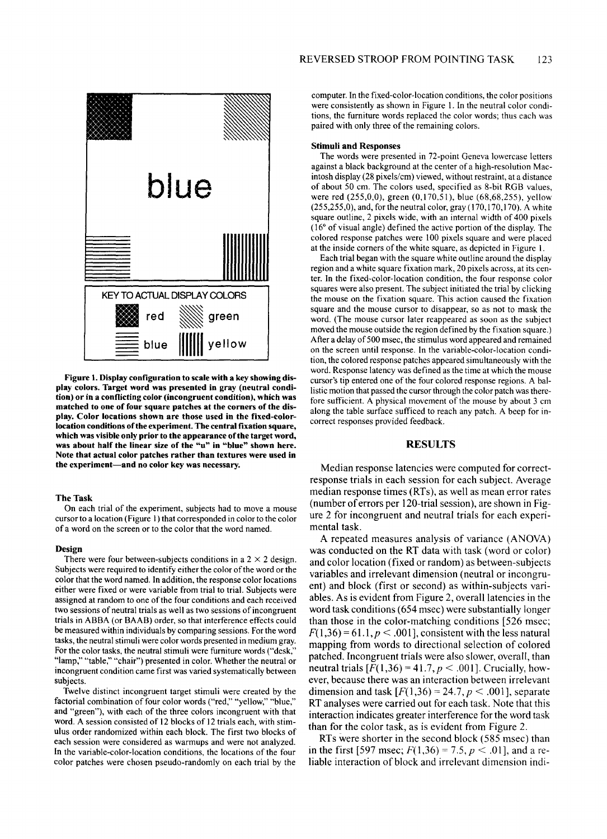

Figure 1. Display configuration to scale with a key showing display colors. Target word was presented in gray (neutral condition) or in a conflicting color (incongruent condition), which was matched to one of four square patches at the corners of the display. Color locations shown are those used in the fixed-colorlocation conditions of the experiment. The central fixation square, which was visible only prior to the appearance of the target word, was about half the linear size of the "u" in "blue" shown here. Note that actual color patches rather than textures were used in the experiment-and no color key was necessary.

#### The Task

On each trial of the experiment, subjects had to move a mouse cursor to a location (Figure I) that corresponded in color to the color of a word on the screen or to the color that the word named.

#### Design

There were four between-subjects conditions in a  $2 \times 2$  design. Subjects were required to identify either the color of the word or the color that the word named. In addition, the response color locations either were fixed or were variable from trial to trial. Subjects were assigned at random to one of the four conditions and each received two sessions of neutral trials as well as two sessions of incongruent trials in ABBA (or BAAB) order, so that interference effects could be measured within individuals by comparing sessions. For the word tasks, the neutral stimuli were color words presented in medium gray. For the color tasks, the neutral stimuli were furniture words ("desk," "lamp," "table," "chair") presented in color. Whether the neutral or incongruent condition came first was varied systematically between subjects.

Twelve distinct incongruent target stimuli were created by the factorial combination of four color words ("red," "yellow," "blue," and "green"), with each of the three colors incongruent with that word. A session consisted of 12 blocks of 12 trials each, with stimulus order randomized within each block. The first two blocks of each session were considered as warmups and were not analyzed. In the variable-color-location conditions, the locations of the four color patches were chosen pseudo-randomly on each trial by the

computer. In the fixed-color-location conditions, the color positions were consistently as shown in Figure I. In the neutral color conditions, the furniture words replaced the color words; thus each was paired with only three of the remaining colors.

#### Stimuli and Responses

The words were presented in 72-point Geneva lowercase letters against a black background at the center of a high-resolution Macintosh display (28 pixels/em) viewed, without restraint, at a distance of about 50 cm. The colors used, specified as 8-bit RGB values, were red (255,0,0), green (0,170,51), blue (68,68,255), yellow (255,255,0), and, for the neutral color, gray (170,170,170). A white square outline, 2 pixels wide, with an internal width of 400 pixels (160 of visual angle) defined the active portion of the display. The colored response patches were 100 pixels square and were placed at the inside corners of the white square, as depicted in Figure 1.

Each trial began with the square white outline around the display region and a white square fixation mark, 20 pixels across, at its center. In the fixed-color-location condition, the four response color squares were also present. The subject initiated the trial by clicking the mouse on the fixation square. This action caused the fixation square and the mouse cursor to disappear, so as not to mask the word. (The mouse cursor later reappeared as soon as the subject moved the mouse outside the region defined by the fixation square.) After a delay of 500 msec, the stimulus word appeared and remained on the screen until response. In the variable-color-location condition, the colored response patches appeared simultaneously with the word. Response latency was defined as the time at which the mouse cursor's tip entered one of the four colored response regions. A ballistic motion that passed the cursor through the color patch was therefore sufficient. A physical movement of the mouse by about 3 cm along the table surface sufficed to reach any patch. A beep for incorrect responses provided feedback.

## RESULTS

Median response latencies were computed for correctresponse trials in each session for each subject. Average median response times (RTs), as well as mean error rates (number of errors per l20-trial session), are shown in Figure 2 for incongruent and neutral trials for each experimental task.

A repeated measures analysis of variance (ANOYA) was conducted on the RT data with task (word or color) and color location (fixed or random) as between-subjects variables and irrelevant dimension (neutral or incongruent) and block (first or second) as within-subjects variables. As is evident from Figure 2, overall latencies in the word task conditions (654 msec) were substantially longer than those in the color-matching conditions [526 msec;  $F(1,36) = 61.1, p < .001$ , consistent with the less natural mapping from words to directional selection of colored patched. Incongruent trials were also slower, overall, than neutral trials  $[F(1,36) = 41.7, p < .001]$ . Crucially, however, because there was an interaction between irrelevant dimension and task  $[F(1,36) = 24.7, p < .001]$ , separate RT analyses were carried out for each task. Note that this interaction indicates greater interference for the word task than for the color task, as is evident from Figure 2.

RTs were shorter in the second block (585 msec) than in the first [597 msec;  $F(1,36) = 7.5, p < .01$ ], and a reliable interaction of block and irrelevant dimension indi-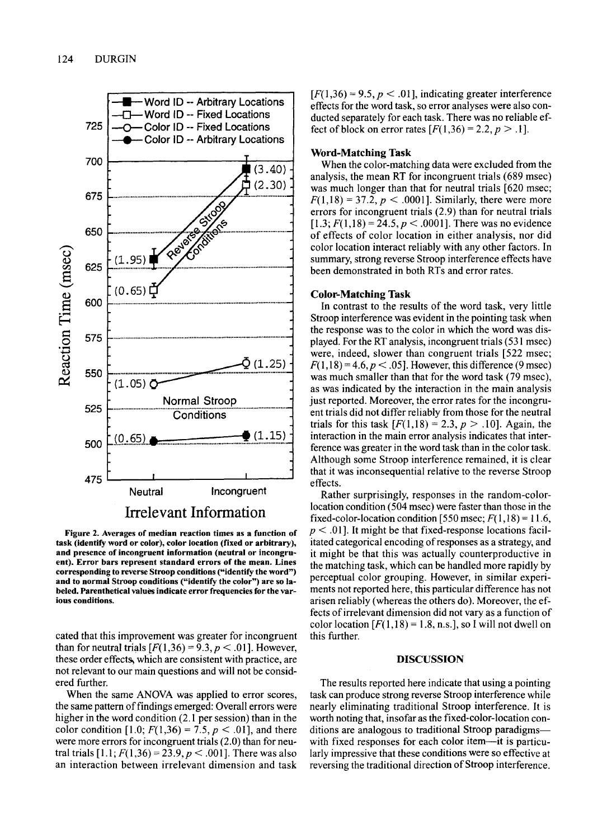

Figure 2. Averages of median reaction times as a function of task (identify word or color), color location (fixed or arbitrary), and presence of incongruent information (neutral or incongruent). Error bars represent standard errors of the mean. Lines corresponding to reverse Stroop conditions ("identify the word") and to normal Stroop conditions ("identify the color") are so labeled. Parenthetical values indicate error frequencies for the various conditions.

cated that this improvement was greater for incongruent than for neutral trials  $[F(1,36) = 9.3, p < .01]$ . However, these order effects, which are consistent with practice, are not relevant to our main questions and will not be considered further.

When the same ANOVA was applied to error scores, the same pattern of findings emerged: Overall errors were higher in the word condition (2.1 per session) than in the color condition [1.0;  $F(1,36) = 7.5, p < .01$ ], and there were more errors for incongruent trials (2.0) than for neutral trials  $[1.1; F(1,36) = 23.9, p < .001]$ . There was also an interaction between irrelevant dimension and task

 $[F(1,36) = 9.5, p < .01]$ , indicating greater interference effects for the word task, so error analyses were also conducted separately for each task. There was no reliable effect of block on error rates  $[F(1,36) = 2.2, p > .1]$ .

# Word-Matching Task

When the color-matching data were excluded from the analysis, the mean RT for incongruent trials (689 msec) was much longer than that for neutral trials [620 msec;  $F(1,18) = 37.2, p < .0001$ . Similarly, there were more errors for incongruent trials (2.9) than for neutral trials  $[1.3; F(1.18) = 24.5, p < .0001]$ . There was no evidence of effects of color location in either analysis, nor did color location interact reliably with any other factors. In summary, strong reverse Stroop interference effects have been demonstrated in both RTs and error rates.

# Color-Matching Task

In contrast to the results of the word task, very little Stroop interference was evident in the pointing task when the response was to the color in which the word was displayed. For the RT analysis, incongruent trials (531 msec) were, indeed, slower than congruent trials [522 msec;  $F(1,18) = 4.6, p < .05$ . However, this difference (9 msec) was much smaller than that for the word task (79 msec), as was indicated by the interaction in the main analysis just reported. Moreover, the error rates for the incongruent trials did not differ reliably from those for the neutral trials for this task  $[F(1,18) = 2.3, p > .10]$ . Again, the interaction in the main error analysis indicates that interference was greater in the word task than in the color task. Although some Stroop interference remained, it is clear that it was inconsequential relative to the reverse Stroop effects.

Rather surprisingly, responses in the random-colorlocation condition (504 msec) were faster than those in the fixed-color-location condition [550 msec;  $F(1,18) = 11.6$ ,  $p < .01$ ]. It might be that fixed-response locations facilitated categorical encoding of responses as a strategy, and it might be that this was actually counterproductive in the matching task, which can be handled more rapidly by perceptual color grouping. However, in similar experiments not reported here, this particular difference has not arisen reliably (whereas the others do). Moreover, the effects of irrelevant dimension did not vary as a function of color location  $[F(1,18) = 1.8, n.s.]$ , so I will not dwell on this further.

# DISCUSSION

The results reported here indicate that using a pointing task can produce strong reverse Stroop interference while nearly eliminating traditional Stroop interference. It is worth noting that, insofar as the fixed-color-location conditions are analogous to traditional Stroop paradigmswith fixed responses for each color item—it is particularly impressive that these conditions were so effective at reversing the traditional direction of Stroop interference.